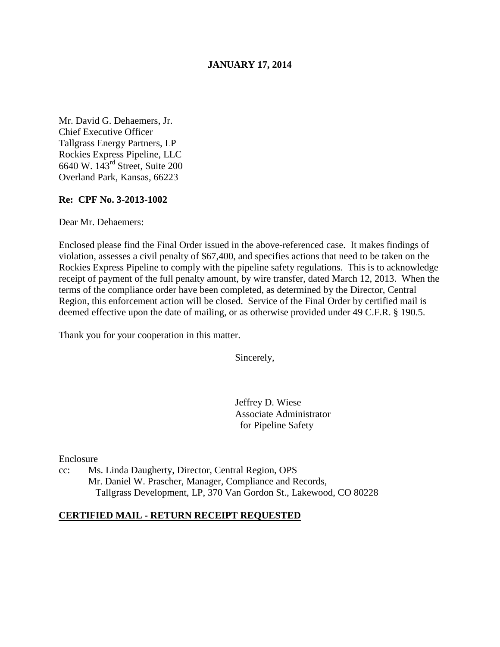## **JANUARY 17, 2014**

Mr. David G. Dehaemers, Jr. Chief Executive Officer Tallgrass Energy Partners, LP Rockies Express Pipeline, LLC 6640 W. 143rd Street, Suite 200 Overland Park, Kansas, 66223

### **Re: CPF No. 3-2013-1002**

Dear Mr. Dehaemers:

Enclosed please find the Final Order issued in the above-referenced case. It makes findings of violation, assesses a civil penalty of \$67,400, and specifies actions that need to be taken on the Rockies Express Pipeline to comply with the pipeline safety regulations. This is to acknowledge receipt of payment of the full penalty amount, by wire transfer, dated March 12, 2013. When the terms of the compliance order have been completed, as determined by the Director, Central Region, this enforcement action will be closed. Service of the Final Order by certified mail is deemed effective upon the date of mailing, or as otherwise provided under 49 C.F.R. § 190.5.

Thank you for your cooperation in this matter.

Sincerely,

Jeffrey D. Wiese Associate Administrator for Pipeline Safety

Enclosure

cc: Ms. Linda Daugherty, Director, Central Region, OPS Mr. Daniel W. Prascher, Manager, Compliance and Records, Tallgrass Development, LP, 370 Van Gordon St., Lakewood, CO 80228

### **CERTIFIED MAIL - RETURN RECEIPT REQUESTED**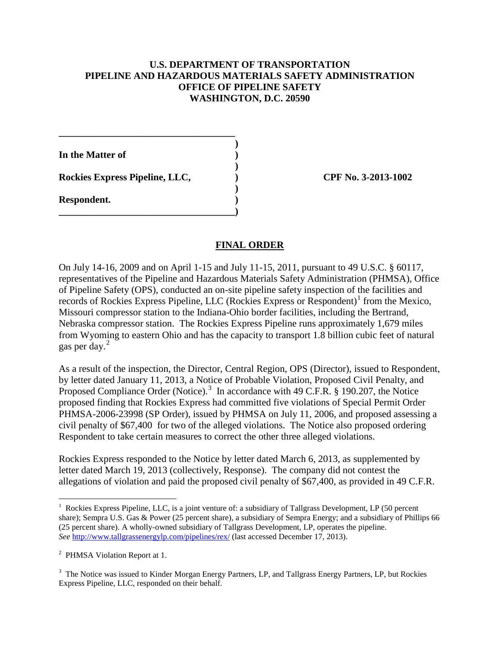# **U.S. DEPARTMENT OF TRANSPORTATION PIPELINE AND HAZARDOUS MATERIALS SAFETY ADMINISTRATION OFFICE OF PIPELINE SAFETY WASHINGTON, D.C. 20590**

 **) In the Matter of )** 

Rockies Express Pipeline, LLC,  $\qquad \qquad$  OPF No. 3-2013-1002

**\_\_\_\_\_\_\_\_\_\_\_\_\_\_\_\_\_\_\_\_\_\_\_\_\_\_\_\_\_\_\_\_\_\_\_\_** 

 **)** 

 **)** 

**\_\_\_\_\_\_\_\_\_\_\_\_\_\_\_\_\_\_\_\_\_\_\_\_\_\_\_\_\_\_\_\_\_\_\_\_)** 

**Respondent. )** 

# **FINAL ORDER**

On July 14-16, 2009 and on April 1-15 and July 11-15, 2011, pursuant to 49 U.S.C. § 60117, representatives of the Pipeline and Hazardous Materials Safety Administration (PHMSA), Office of Pipeline Safety (OPS), conducted an on-site pipeline safety inspection of the facilities and records of Rockies Express Pipeline, LLC (Rockies Express or Respondent)<sup>1</sup> from the Mexico, Missouri compressor station to the Indiana-Ohio border facilities, including the Bertrand, Nebraska compressor station. The Rockies Express Pipeline runs approximately 1,679 miles from Wyoming to eastern Ohio and has the capacity to transport 1.8 billion cubic feet of natural gas per day. $^{2}$ 

As a result of the inspection, the Director, Central Region, OPS (Director), issued to Respondent, by letter dated January 11, 2013, a Notice of Probable Violation, Proposed Civil Penalty, and Proposed Compliance Order (Notice).<sup>3</sup> In accordance with 49 C.F.R. § 190.207, the Notice proposed finding that Rockies Express had committed five violations of Special Permit Order PHMSA-2006-23998 (SP Order), issued by PHMSA on July 11, 2006, and proposed assessing a civil penalty of \$67,400 for two of the alleged violations. The Notice also proposed ordering Respondent to take certain measures to correct the other three alleged violations.

Rockies Express responded to the Notice by letter dated March 6, 2013, as supplemented by letter dated March 19, 2013 (collectively, Response). The company did not contest the allegations of violation and paid the proposed civil penalty of \$67,400, as provided in 49 C.F.R.

 1 Rockies Express Pipeline, LLC, is a joint venture of: a subsidiary of Tallgrass Development, LP (50 percent share); Sempra U.S. Gas & Power (25 percent share), a subsidiary of Sempra Energy; and a subsidiary of Phillips 66 (25 percent share). A wholly-owned subsidiary of Tallgrass Development, LP, operates the pipeline. *See* http://www.tallgrassenergylp.com/pipelines/rex/ (last accessed December 17, 2013).

<sup>&</sup>lt;sup>2</sup> PHMSA Violation Report at 1.

<sup>&</sup>lt;sup>3</sup> The Notice was issued to Kinder Morgan Energy Partners, LP, and Tallgrass Energy Partners, LP, but Rockies Express Pipeline, LLC, responded on their behalf.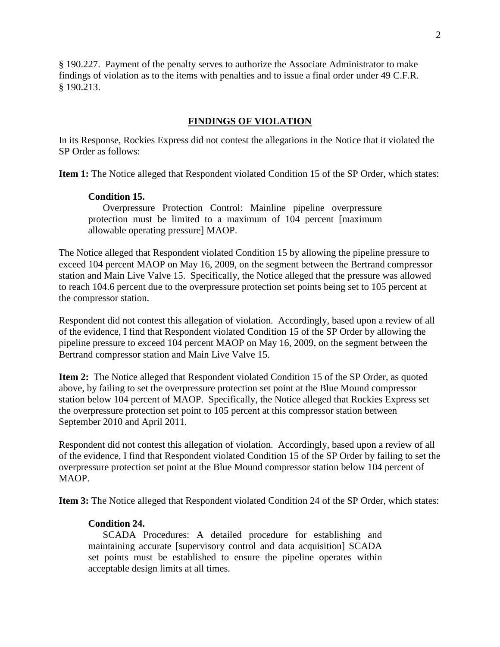§ 190.227. Payment of the penalty serves to authorize the Associate Administrator to make findings of violation as to the items with penalties and to issue a final order under 49 C.F.R. § 190.213.

### **FINDINGS OF VIOLATION**

In its Response, Rockies Express did not contest the allegations in the Notice that it violated the SP Order as follows:

**Item 1:** The Notice alleged that Respondent violated Condition 15 of the SP Order, which states:

#### **Condition 15.**

Overpressure Protection Control: Mainline pipeline overpressure protection must be limited to a maximum of 104 percent [maximum allowable operating pressure] MAOP.

The Notice alleged that Respondent violated Condition 15 by allowing the pipeline pressure to exceed 104 percent MAOP on May 16, 2009, on the segment between the Bertrand compressor station and Main Live Valve 15. Specifically, the Notice alleged that the pressure was allowed to reach 104.6 percent due to the overpressure protection set points being set to 105 percent at the compressor station.

Respondent did not contest this allegation of violation. Accordingly, based upon a review of all of the evidence, I find that Respondent violated Condition 15 of the SP Order by allowing the pipeline pressure to exceed 104 percent MAOP on May 16, 2009, on the segment between the Bertrand compressor station and Main Live Valve 15.

**Item 2:** The Notice alleged that Respondent violated Condition 15 of the SP Order, as quoted above, by failing to set the overpressure protection set point at the Blue Mound compressor station below 104 percent of MAOP. Specifically, the Notice alleged that Rockies Express set the overpressure protection set point to 105 percent at this compressor station between September 2010 and April 2011.

Respondent did not contest this allegation of violation. Accordingly, based upon a review of all of the evidence, I find that Respondent violated Condition 15 of the SP Order by failing to set the overpressure protection set point at the Blue Mound compressor station below 104 percent of MAOP.

**Item 3:** The Notice alleged that Respondent violated Condition 24 of the SP Order, which states:

## **Condition 24.**

SCADA Procedures: A detailed procedure for establishing and maintaining accurate [supervisory control and data acquisition] SCADA set points must be established to ensure the pipeline operates within acceptable design limits at all times.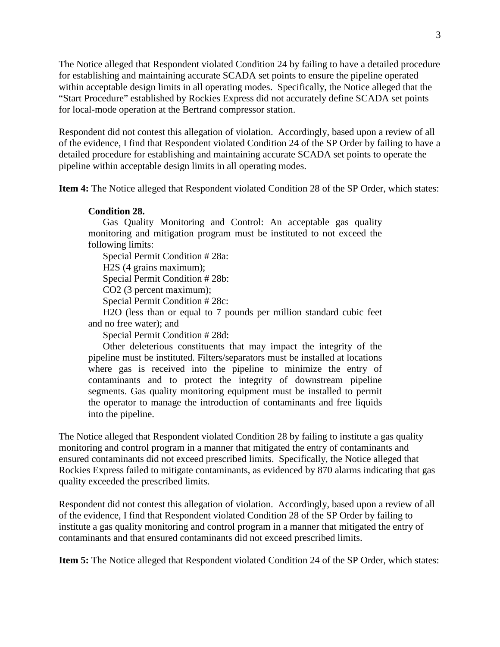The Notice alleged that Respondent violated Condition 24 by failing to have a detailed procedure for establishing and maintaining accurate SCADA set points to ensure the pipeline operated within acceptable design limits in all operating modes. Specifically, the Notice alleged that the "Start Procedure" established by Rockies Express did not accurately define SCADA set points for local-mode operation at the Bertrand compressor station.

Respondent did not contest this allegation of violation. Accordingly, based upon a review of all of the evidence, I find that Respondent violated Condition 24 of the SP Order by failing to have a detailed procedure for establishing and maintaining accurate SCADA set points to operate the pipeline within acceptable design limits in all operating modes.

**Item 4:** The Notice alleged that Respondent violated Condition 28 of the SP Order, which states:

#### **Condition 28.**

Gas Quality Monitoring and Control: An acceptable gas quality monitoring and mitigation program must be instituted to not exceed the following limits:

Special Permit Condition # 28a:

H2S (4 grains maximum);

Special Permit Condition # 28b:

CO2 (3 percent maximum);

Special Permit Condition # 28c:

H2O (less than or equal to 7 pounds per million standard cubic feet and no free water); and

Special Permit Condition # 28d:

Other deleterious constituents that may impact the integrity of the pipeline must be instituted. Filters/separators must be installed at locations where gas is received into the pipeline to minimize the entry of contaminants and to protect the integrity of downstream pipeline segments. Gas quality monitoring equipment must be installed to permit the operator to manage the introduction of contaminants and free liquids into the pipeline.

The Notice alleged that Respondent violated Condition 28 by failing to institute a gas quality monitoring and control program in a manner that mitigated the entry of contaminants and ensured contaminants did not exceed prescribed limits. Specifically, the Notice alleged that Rockies Express failed to mitigate contaminants, as evidenced by 870 alarms indicating that gas quality exceeded the prescribed limits.

Respondent did not contest this allegation of violation. Accordingly, based upon a review of all of the evidence, I find that Respondent violated Condition 28 of the SP Order by failing to institute a gas quality monitoring and control program in a manner that mitigated the entry of contaminants and that ensured contaminants did not exceed prescribed limits.

**Item 5:** The Notice alleged that Respondent violated Condition 24 of the SP Order, which states: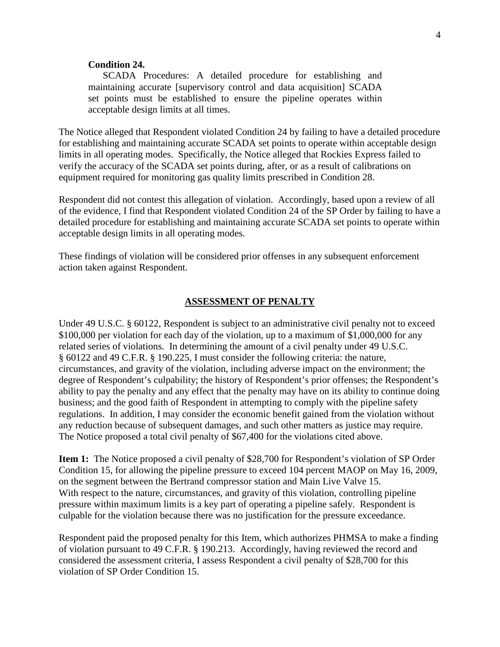### **Condition 24.**

SCADA Procedures: A detailed procedure for establishing and maintaining accurate [supervisory control and data acquisition] SCADA set points must be established to ensure the pipeline operates within acceptable design limits at all times.

The Notice alleged that Respondent violated Condition 24 by failing to have a detailed procedure for establishing and maintaining accurate SCADA set points to operate within acceptable design limits in all operating modes. Specifically, the Notice alleged that Rockies Express failed to verify the accuracy of the SCADA set points during, after, or as a result of calibrations on equipment required for monitoring gas quality limits prescribed in Condition 28.

Respondent did not contest this allegation of violation. Accordingly, based upon a review of all of the evidence, I find that Respondent violated Condition 24 of the SP Order by failing to have a detailed procedure for establishing and maintaining accurate SCADA set points to operate within acceptable design limits in all operating modes.

These findings of violation will be considered prior offenses in any subsequent enforcement action taken against Respondent.

### **ASSESSMENT OF PENALTY**

Under 49 U.S.C. § 60122, Respondent is subject to an administrative civil penalty not to exceed \$100,000 per violation for each day of the violation, up to a maximum of \$1,000,000 for any related series of violations. In determining the amount of a civil penalty under 49 U.S.C. § 60122 and 49 C.F.R. § 190.225, I must consider the following criteria: the nature, circumstances, and gravity of the violation, including adverse impact on the environment; the degree of Respondent's culpability; the history of Respondent's prior offenses; the Respondent's ability to pay the penalty and any effect that the penalty may have on its ability to continue doing business; and the good faith of Respondent in attempting to comply with the pipeline safety regulations. In addition, I may consider the economic benefit gained from the violation without any reduction because of subsequent damages, and such other matters as justice may require. The Notice proposed a total civil penalty of \$67,400 for the violations cited above.

**Item 1:** The Notice proposed a civil penalty of \$28,700 for Respondent's violation of SP Order Condition 15, for allowing the pipeline pressure to exceed 104 percent MAOP on May 16, 2009, on the segment between the Bertrand compressor station and Main Live Valve 15. With respect to the nature, circumstances, and gravity of this violation, controlling pipeline pressure within maximum limits is a key part of operating a pipeline safely. Respondent is culpable for the violation because there was no justification for the pressure exceedance.

Respondent paid the proposed penalty for this Item, which authorizes PHMSA to make a finding of violation pursuant to 49 C.F.R. § 190.213. Accordingly, having reviewed the record and considered the assessment criteria, I assess Respondent a civil penalty of \$28,700 for this violation of SP Order Condition 15.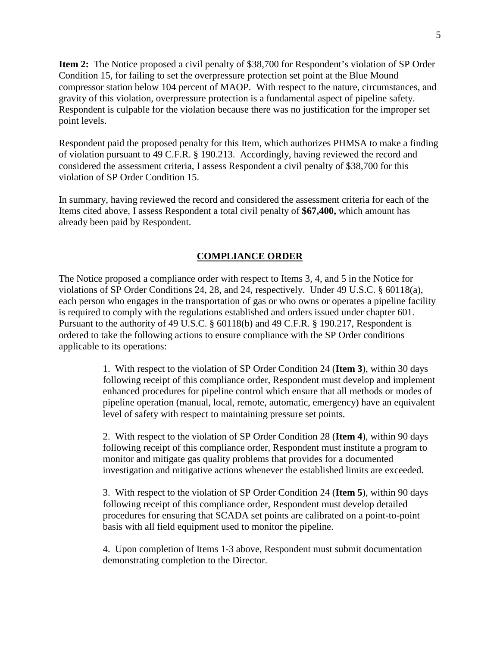**Item 2:** The Notice proposed a civil penalty of \$38,700 for Respondent's violation of SP Order Condition 15, for failing to set the overpressure protection set point at the Blue Mound compressor station below 104 percent of MAOP. With respect to the nature, circumstances, and gravity of this violation, overpressure protection is a fundamental aspect of pipeline safety. Respondent is culpable for the violation because there was no justification for the improper set point levels.

Respondent paid the proposed penalty for this Item, which authorizes PHMSA to make a finding of violation pursuant to 49 C.F.R. § 190.213. Accordingly, having reviewed the record and considered the assessment criteria, I assess Respondent a civil penalty of \$38,700 for this violation of SP Order Condition 15.

In summary, having reviewed the record and considered the assessment criteria for each of the Items cited above, I assess Respondent a total civil penalty of **\$67,400,** which amount has already been paid by Respondent.

## **COMPLIANCE ORDER**

The Notice proposed a compliance order with respect to Items 3, 4, and 5 in the Notice for violations of SP Order Conditions 24, 28, and 24, respectively. Under 49 U.S.C. § 60118(a), each person who engages in the transportation of gas or who owns or operates a pipeline facility is required to comply with the regulations established and orders issued under chapter 601. Pursuant to the authority of 49 U.S.C. § 60118(b) and 49 C.F.R. § 190.217, Respondent is ordered to take the following actions to ensure compliance with the SP Order conditions applicable to its operations:

> 1. With respect to the violation of SP Order Condition 24 (**Item 3**), within 30 days following receipt of this compliance order, Respondent must develop and implement enhanced procedures for pipeline control which ensure that all methods or modes of pipeline operation (manual, local, remote, automatic, emergency) have an equivalent level of safety with respect to maintaining pressure set points.

2. With respect to the violation of SP Order Condition 28 (**Item 4**), within 90 days following receipt of this compliance order, Respondent must institute a program to monitor and mitigate gas quality problems that provides for a documented investigation and mitigative actions whenever the established limits are exceeded.

3. With respect to the violation of SP Order Condition 24 (**Item 5**), within 90 days following receipt of this compliance order, Respondent must develop detailed procedures for ensuring that SCADA set points are calibrated on a point-to-point basis with all field equipment used to monitor the pipeline.

4. Upon completion of Items 1-3 above, Respondent must submit documentation demonstrating completion to the Director.